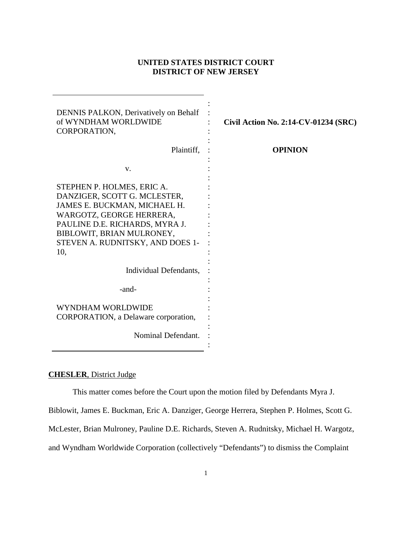# **UNITED STATES DISTRICT COURT DISTRICT OF NEW JERSEY**

| <b>DENNIS PALKON, Derivatively on Behalf</b><br>of WYNDHAM WORLDWIDE<br>CORPORATION,                                                                                                                                                                       | Civil Action No. 2:14-CV-01234 (SRC) |
|------------------------------------------------------------------------------------------------------------------------------------------------------------------------------------------------------------------------------------------------------------|--------------------------------------|
| Plaintiff,                                                                                                                                                                                                                                                 | <b>OPINION</b>                       |
| V.                                                                                                                                                                                                                                                         |                                      |
| STEPHEN P. HOLMES, ERIC A.<br>DANZIGER, SCOTT G. MCLESTER,<br>JAMES E. BUCKMAN, MICHAEL H.<br>WARGOTZ, GEORGE HERRERA,<br>PAULINE D.E. RICHARDS, MYRA J.<br>BIBLOWIT, BRIAN MULRONEY,<br>STEVEN A. RUDNITSKY, AND DOES 1-<br>10,<br>Individual Defendants, |                                      |
| -and-                                                                                                                                                                                                                                                      |                                      |
| WYNDHAM WORLDWIDE<br>CORPORATION, a Delaware corporation,<br>Nominal Defendant.                                                                                                                                                                            |                                      |

## **CHESLER**, District Judge

This matter comes before the Court upon the motion filed by Defendants Myra J.

Biblowit, James E. Buckman, Eric A. Danziger, George Herrera, Stephen P. Holmes, Scott G.

McLester, Brian Mulroney, Pauline D.E. Richards, Steven A. Rudnitsky, Michael H. Wargotz,

and Wyndham Worldwide Corporation (collectively "Defendants") to dismiss the Complaint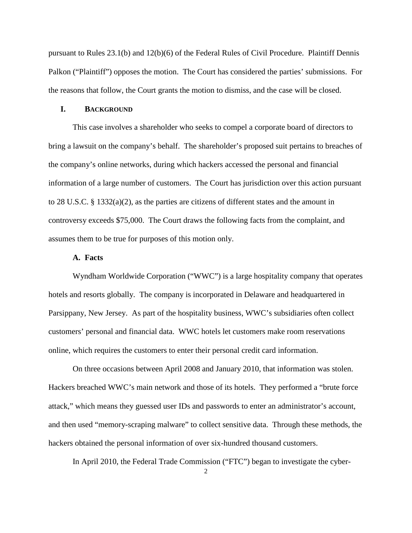pursuant to Rules 23.1(b) and 12(b)(6) of the Federal Rules of Civil Procedure. Plaintiff Dennis Palkon ("Plaintiff") opposes the motion. The Court has considered the parties' submissions. For the reasons that follow, the Court grants the motion to dismiss, and the case will be closed.

## **I. BACKGROUND**

This case involves a shareholder who seeks to compel a corporate board of directors to bring a lawsuit on the company's behalf. The shareholder's proposed suit pertains to breaches of the company's online networks, during which hackers accessed the personal and financial information of a large number of customers. The Court has jurisdiction over this action pursuant to 28 U.S.C. § 1332(a)(2), as the parties are citizens of different states and the amount in controversy exceeds \$75,000. The Court draws the following facts from the complaint, and assumes them to be true for purposes of this motion only.

#### **A. Facts**

Wyndham Worldwide Corporation ("WWC") is a large hospitality company that operates hotels and resorts globally. The company is incorporated in Delaware and headquartered in Parsippany, New Jersey. As part of the hospitality business, WWC's subsidiaries often collect customers' personal and financial data. WWC hotels let customers make room reservations online, which requires the customers to enter their personal credit card information.

On three occasions between April 2008 and January 2010, that information was stolen. Hackers breached WWC's main network and those of its hotels. They performed a "brute force attack," which means they guessed user IDs and passwords to enter an administrator's account, and then used "memory-scraping malware" to collect sensitive data. Through these methods, the hackers obtained the personal information of over six-hundred thousand customers.

In April 2010, the Federal Trade Commission ("FTC") began to investigate the cyber-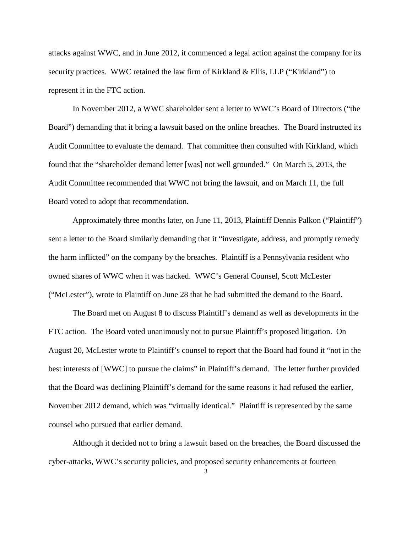attacks against WWC, and in June 2012, it commenced a legal action against the company for its security practices. WWC retained the law firm of Kirkland & Ellis, LLP ("Kirkland") to represent it in the FTC action.

In November 2012, a WWC shareholder sent a letter to WWC's Board of Directors ("the Board") demanding that it bring a lawsuit based on the online breaches. The Board instructed its Audit Committee to evaluate the demand. That committee then consulted with Kirkland, which found that the "shareholder demand letter [was] not well grounded." On March 5, 2013, the Audit Committee recommended that WWC not bring the lawsuit, and on March 11, the full Board voted to adopt that recommendation.

Approximately three months later, on June 11, 2013, Plaintiff Dennis Palkon ("Plaintiff") sent a letter to the Board similarly demanding that it "investigate, address, and promptly remedy the harm inflicted" on the company by the breaches. Plaintiff is a Pennsylvania resident who owned shares of WWC when it was hacked. WWC's General Counsel, Scott McLester ("McLester"), wrote to Plaintiff on June 28 that he had submitted the demand to the Board.

The Board met on August 8 to discuss Plaintiff's demand as well as developments in the FTC action. The Board voted unanimously not to pursue Plaintiff's proposed litigation. On August 20, McLester wrote to Plaintiff's counsel to report that the Board had found it "not in the best interests of [WWC] to pursue the claims" in Plaintiff's demand. The letter further provided that the Board was declining Plaintiff's demand for the same reasons it had refused the earlier, November 2012 demand, which was "virtually identical." Plaintiff is represented by the same counsel who pursued that earlier demand.

Although it decided not to bring a lawsuit based on the breaches, the Board discussed the cyber-attacks, WWC's security policies, and proposed security enhancements at fourteen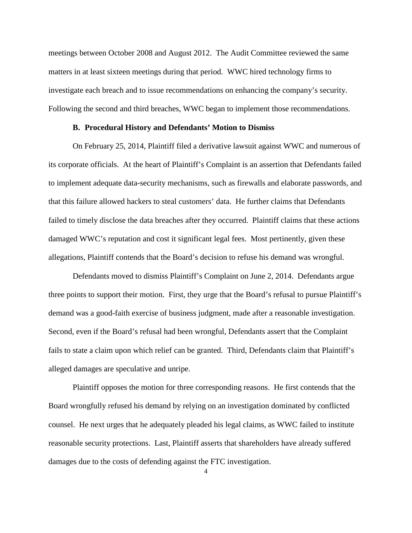meetings between October 2008 and August 2012. The Audit Committee reviewed the same matters in at least sixteen meetings during that period. WWC hired technology firms to investigate each breach and to issue recommendations on enhancing the company's security. Following the second and third breaches, WWC began to implement those recommendations.

### **B. Procedural History and Defendants' Motion to Dismiss**

On February 25, 2014, Plaintiff filed a derivative lawsuit against WWC and numerous of its corporate officials. At the heart of Plaintiff's Complaint is an assertion that Defendants failed to implement adequate data-security mechanisms, such as firewalls and elaborate passwords, and that this failure allowed hackers to steal customers' data. He further claims that Defendants failed to timely disclose the data breaches after they occurred. Plaintiff claims that these actions damaged WWC's reputation and cost it significant legal fees. Most pertinently, given these allegations, Plaintiff contends that the Board's decision to refuse his demand was wrongful.

Defendants moved to dismiss Plaintiff's Complaint on June 2, 2014. Defendants argue three points to support their motion. First, they urge that the Board's refusal to pursue Plaintiff's demand was a good-faith exercise of business judgment, made after a reasonable investigation. Second, even if the Board's refusal had been wrongful, Defendants assert that the Complaint fails to state a claim upon which relief can be granted. Third, Defendants claim that Plaintiff's alleged damages are speculative and unripe.

Plaintiff opposes the motion for three corresponding reasons. He first contends that the Board wrongfully refused his demand by relying on an investigation dominated by conflicted counsel. He next urges that he adequately pleaded his legal claims, as WWC failed to institute reasonable security protections. Last, Plaintiff asserts that shareholders have already suffered damages due to the costs of defending against the FTC investigation.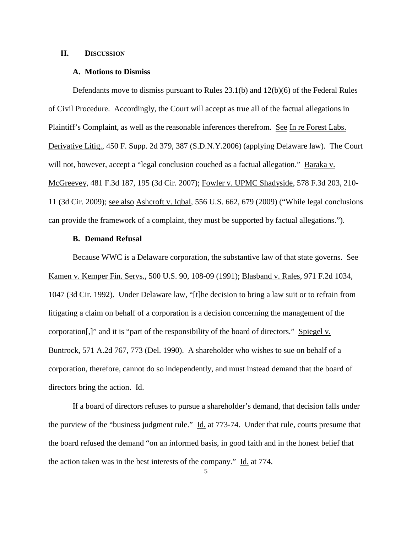## **II. DISCUSSION**

### **A. Motions to Dismiss**

Defendants move to dismiss pursuant to Rules 23.1(b) and 12(b)(6) of the Federal Rules of Civil Procedure. Accordingly, the Court will accept as true all of the factual allegations in Plaintiff's Complaint, as well as the reasonable inferences therefrom. See In re Forest Labs. Derivative Litig., 450 F. Supp. 2d 379, 387 (S.D.N.Y.2006) (applying Delaware law). The Court will not, however, accept a "legal conclusion couched as a factual allegation." Baraka v. McGreevey, 481 F.3d 187, 195 (3d Cir. 2007); Fowler v. UPMC Shadyside, 578 F.3d 203, 210- 11 (3d Cir. 2009); see also Ashcroft v. Iqbal, 556 U.S. 662, 679 (2009) ("While legal conclusions can provide the framework of a complaint, they must be supported by factual allegations.").

## **B. Demand Refusal**

Because WWC is a Delaware corporation, the substantive law of that state governs. See Kamen v. Kemper Fin. Servs., 500 U.S. 90, 108-09 (1991); Blasband v. Rales, 971 F.2d 1034, 1047 (3d Cir. 1992). Under Delaware law, "[t]he decision to bring a law suit or to refrain from litigating a claim on behalf of a corporation is a decision concerning the management of the corporation[,]" and it is "part of the responsibility of the board of directors." Spiegel v. Buntrock, 571 A.2d 767, 773 (Del. 1990). A shareholder who wishes to sue on behalf of a corporation, therefore, cannot do so independently, and must instead demand that the board of directors bring the action. Id.

If a board of directors refuses to pursue a shareholder's demand, that decision falls under the purview of the "business judgment rule." Id. at 773-74. Under that rule, courts presume that the board refused the demand "on an informed basis, in good faith and in the honest belief that the action taken was in the best interests of the company." Id. at 774.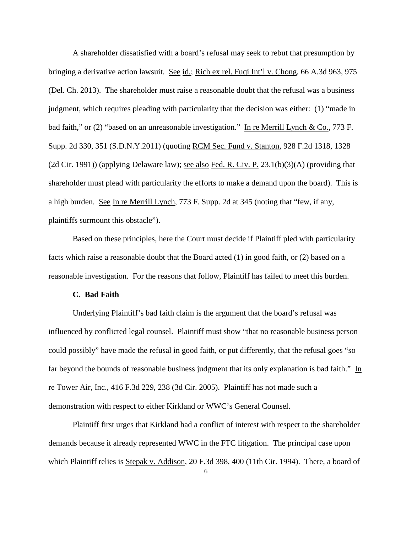A shareholder dissatisfied with a board's refusal may seek to rebut that presumption by bringing a derivative action lawsuit. See id.; Rich ex rel. Fuqi Int'l v. Chong, 66 A.3d 963, 975 (Del. Ch. 2013). The shareholder must raise a reasonable doubt that the refusal was a business judgment, which requires pleading with particularity that the decision was either: (1) "made in bad faith," or (2) "based on an unreasonable investigation." In re Merrill Lynch & Co., 773 F. Supp. 2d 330, 351 (S.D.N.Y.2011) (quoting RCM Sec. Fund v. Stanton, 928 F.2d 1318, 1328 (2d Cir. 1991)) (applying Delaware law); see also Fed. R. Civ. P. 23.1(b)(3)(A) (providing that shareholder must plead with particularity the efforts to make a demand upon the board). This is a high burden. See In re Merrill Lynch, 773 F. Supp. 2d at 345 (noting that "few, if any, plaintiffs surmount this obstacle").

Based on these principles, here the Court must decide if Plaintiff pled with particularity facts which raise a reasonable doubt that the Board acted (1) in good faith, or (2) based on a reasonable investigation. For the reasons that follow, Plaintiff has failed to meet this burden.

## **C. Bad Faith**

Underlying Plaintiff's bad faith claim is the argument that the board's refusal was influenced by conflicted legal counsel. Plaintiff must show "that no reasonable business person could possibly" have made the refusal in good faith, or put differently, that the refusal goes "so far beyond the bounds of reasonable business judgment that its only explanation is bad faith." In re Tower Air, Inc., 416 F.3d 229, 238 (3d Cir. 2005). Plaintiff has not made such a demonstration with respect to either Kirkland or WWC's General Counsel.

Plaintiff first urges that Kirkland had a conflict of interest with respect to the shareholder demands because it already represented WWC in the FTC litigation. The principal case upon which Plaintiff relies is Stepak v. Addison, 20 F.3d 398, 400 (11th Cir. 1994). There, a board of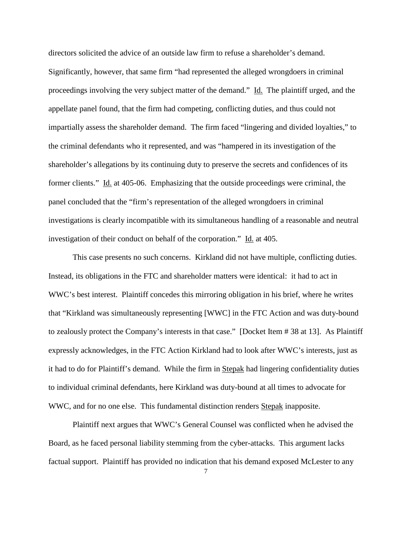directors solicited the advice of an outside law firm to refuse a shareholder's demand. Significantly, however, that same firm "had represented the alleged wrongdoers in criminal proceedings involving the very subject matter of the demand." Id. The plaintiff urged, and the appellate panel found, that the firm had competing, conflicting duties, and thus could not impartially assess the shareholder demand. The firm faced "lingering and divided loyalties," to the criminal defendants who it represented, and was "hampered in its investigation of the shareholder's allegations by its continuing duty to preserve the secrets and confidences of its former clients." Id. at 405-06. Emphasizing that the outside proceedings were criminal, the panel concluded that the "firm's representation of the alleged wrongdoers in criminal investigations is clearly incompatible with its simultaneous handling of a reasonable and neutral investigation of their conduct on behalf of the corporation." Id. at 405.

This case presents no such concerns. Kirkland did not have multiple, conflicting duties. Instead, its obligations in the FTC and shareholder matters were identical: it had to act in WWC's best interest. Plaintiff concedes this mirroring obligation in his brief, where he writes that "Kirkland was simultaneously representing [WWC] in the FTC Action and was duty-bound to zealously protect the Company's interests in that case." [Docket Item # 38 at 13]. As Plaintiff expressly acknowledges, in the FTC Action Kirkland had to look after WWC's interests, just as it had to do for Plaintiff's demand. While the firm in Stepak had lingering confidentiality duties to individual criminal defendants, here Kirkland was duty-bound at all times to advocate for WWC, and for no one else. This fundamental distinction renders Stepak inapposite.

Plaintiff next argues that WWC's General Counsel was conflicted when he advised the Board, as he faced personal liability stemming from the cyber-attacks. This argument lacks factual support. Plaintiff has provided no indication that his demand exposed McLester to any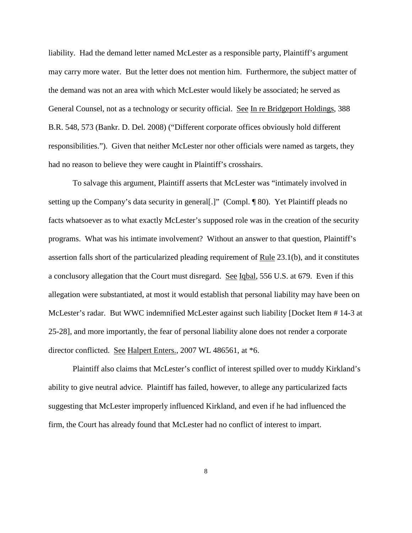liability. Had the demand letter named McLester as a responsible party, Plaintiff's argument may carry more water. But the letter does not mention him. Furthermore, the subject matter of the demand was not an area with which McLester would likely be associated; he served as General Counsel, not as a technology or security official. See In re Bridgeport Holdings, 388 B.R. 548, 573 (Bankr. D. Del. 2008) ("Different corporate offices obviously hold different responsibilities."). Given that neither McLester nor other officials were named as targets, they had no reason to believe they were caught in Plaintiff's crosshairs.

To salvage this argument, Plaintiff asserts that McLester was "intimately involved in setting up the Company's data security in general[.]" (Compl. ¶ 80). Yet Plaintiff pleads no facts whatsoever as to what exactly McLester's supposed role was in the creation of the security programs. What was his intimate involvement? Without an answer to that question, Plaintiff's assertion falls short of the particularized pleading requirement of Rule 23.1(b), and it constitutes a conclusory allegation that the Court must disregard. See Iqbal, 556 U.S. at 679. Even if this allegation were substantiated, at most it would establish that personal liability may have been on McLester's radar. But WWC indemnified McLester against such liability [Docket Item # 14-3 at 25-28], and more importantly, the fear of personal liability alone does not render a corporate director conflicted. See Halpert Enters., 2007 WL 486561, at \*6.

Plaintiff also claims that McLester's conflict of interest spilled over to muddy Kirkland's ability to give neutral advice. Plaintiff has failed, however, to allege any particularized facts suggesting that McLester improperly influenced Kirkland, and even if he had influenced the firm, the Court has already found that McLester had no conflict of interest to impart.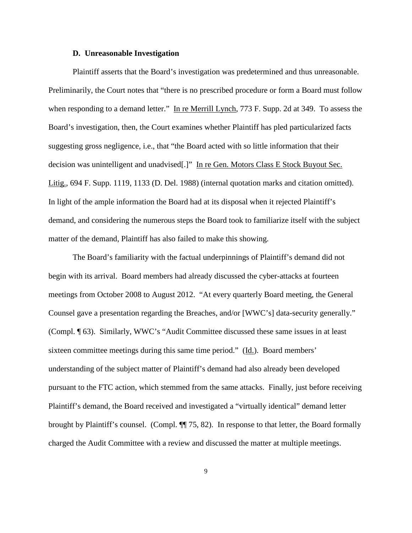## **D. Unreasonable Investigation**

Plaintiff asserts that the Board's investigation was predetermined and thus unreasonable. Preliminarily, the Court notes that "there is no prescribed procedure or form a Board must follow when responding to a demand letter." In re Merrill Lynch, 773 F. Supp. 2d at 349. To assess the Board's investigation, then, the Court examines whether Plaintiff has pled particularized facts suggesting gross negligence, i.e., that "the Board acted with so little information that their decision was unintelligent and unadvised[.]" In re Gen. Motors Class E Stock Buyout Sec. Litig., 694 F. Supp. 1119, 1133 (D. Del. 1988) (internal quotation marks and citation omitted). In light of the ample information the Board had at its disposal when it rejected Plaintiff's demand, and considering the numerous steps the Board took to familiarize itself with the subject matter of the demand, Plaintiff has also failed to make this showing.

The Board's familiarity with the factual underpinnings of Plaintiff's demand did not begin with its arrival. Board members had already discussed the cyber-attacks at fourteen meetings from October 2008 to August 2012. "At every quarterly Board meeting, the General Counsel gave a presentation regarding the Breaches, and/or [WWC's] data-security generally." (Compl. ¶ 63). Similarly, WWC's "Audit Committee discussed these same issues in at least sixteen committee meetings during this same time period." (Id.). Board members' understanding of the subject matter of Plaintiff's demand had also already been developed pursuant to the FTC action, which stemmed from the same attacks. Finally, just before receiving Plaintiff's demand, the Board received and investigated a "virtually identical" demand letter brought by Plaintiff's counsel. (Compl. ¶¶ 75, 82). In response to that letter, the Board formally charged the Audit Committee with a review and discussed the matter at multiple meetings.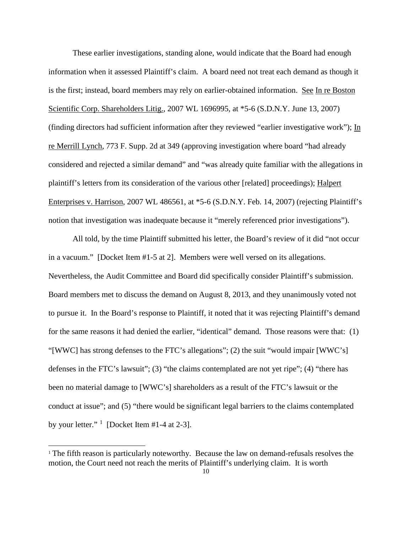These earlier investigations, standing alone, would indicate that the Board had enough information when it assessed Plaintiff's claim. A board need not treat each demand as though it is the first; instead, board members may rely on earlier-obtained information. See In re Boston Scientific Corp. Shareholders Litig., 2007 WL 1696995, at \*5-6 (S.D.N.Y. June 13, 2007) (finding directors had sufficient information after they reviewed "earlier investigative work"); In re Merrill Lynch, 773 F. Supp. 2d at 349 (approving investigation where board "had already considered and rejected a similar demand" and "was already quite familiar with the allegations in plaintiff's letters from its consideration of the various other [related] proceedings); Halpert Enterprises v. Harrison, 2007 WL 486561, at \*5-6 (S.D.N.Y. Feb. 14, 2007) (rejecting Plaintiff's notion that investigation was inadequate because it "merely referenced prior investigations").

All told, by the time Plaintiff submitted his letter, the Board's review of it did "not occur in a vacuum." [Docket Item #1-5 at 2]. Members were well versed on its allegations. Nevertheless, the Audit Committee and Board did specifically consider Plaintiff's submission. Board members met to discuss the demand on August 8, 2013, and they unanimously voted not to pursue it. In the Board's response to Plaintiff, it noted that it was rejecting Plaintiff's demand for the same reasons it had denied the earlier, "identical" demand. Those reasons were that: (1) "[WWC] has strong defenses to the FTC's allegations"; (2) the suit "would impair [WWC's] defenses in the FTC's lawsuit"; (3) "the claims contemplated are not yet ripe"; (4) "there has been no material damage to [WWC's] shareholders as a result of the FTC's lawsuit or the conduct at issue"; and (5) "there would be significant legal barriers to the claims contemplated by your letter."  $\frac{1}{2}$  $\frac{1}{2}$  $\frac{1}{2}$  [Docket Item #1-4 at 2-3].

 $\overline{a}$ 

<span id="page-9-0"></span><sup>&</sup>lt;sup>1</sup> The fifth reason is particularly noteworthy. Because the law on demand-refusals resolves the motion, the Court need not reach the merits of Plaintiff's underlying claim. It is worth